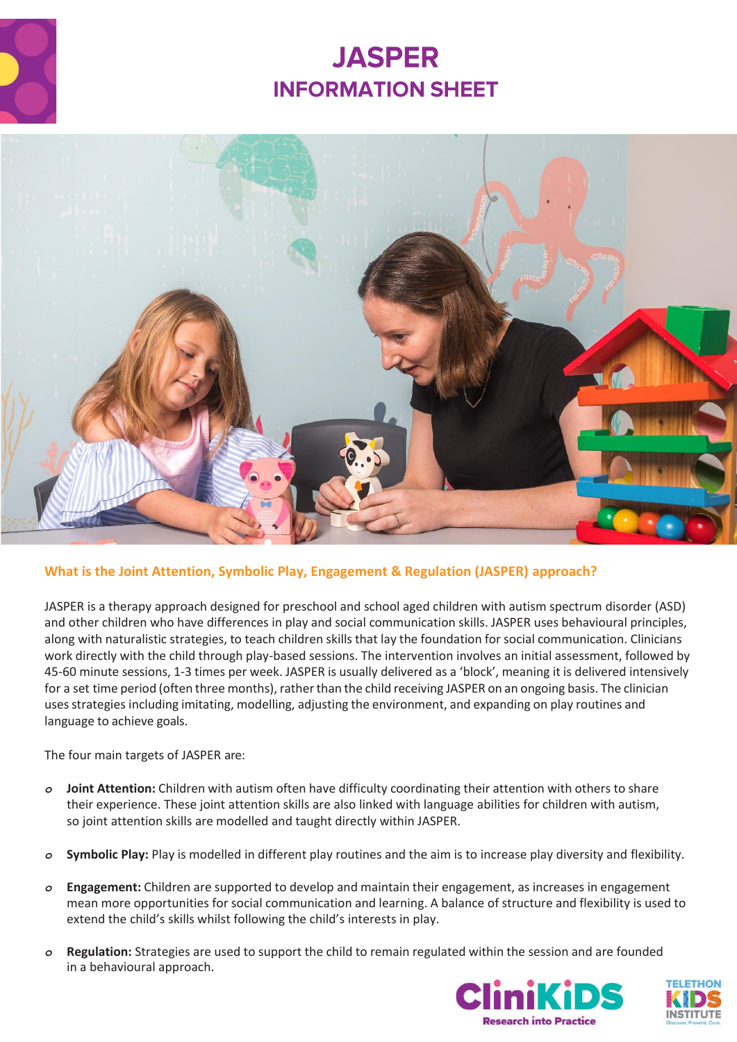

# **JASPER INFORMATION SHEET**



## **What is the Joint Attention, Symbolic Play, Engagement & Regulation (JASPER) approach?**

JASPER is a therapy approach designed for preschool and school aged children with autism spectrum disorder (ASD) and other children who have differences in play and social communication skills. JASPER uses behavioural principles, along with naturalistic strategies, to teach children skills that lay the foundation for social communication. Clinicians work directly with the child through play-based sessions. The intervention involves an initial assessment, followed by 45-60 minute sessions, 1-3 times per week. JASPER is usually delivered as a 'block', meaning it is delivered intensively for a set time period (often three months), rather than the child receiving JASPER on an ongoing basis. The clinician uses strategies including imitating, modelling, adjusting the environment, and expanding on play routines and language to achieve goals.

The four main targets of JASPER are:

- *o* **Joint Attention:** Children with autism often have difficulty coordinating their attention with others to share their experience. These joint attention skills are also linked with language abilities for children with autism, so joint attention skills are modelled and taught directly within JASPER.
- *o* **Symbolic Play:** Play is modelled in different play routines and the aim is to increase play diversity and flexibility.
- *o* **Engagement:** Children are supported to develop and maintain their engagement, as increases in engagement mean more opportunities for social communication and learning. A balance of structure and flexibility is used to extend the child's skills whilst following the child's interests in play.
- *o* **Regulation:** Strategies are used to support the child to remain regulated within the session and are founded in a behavioural approach.